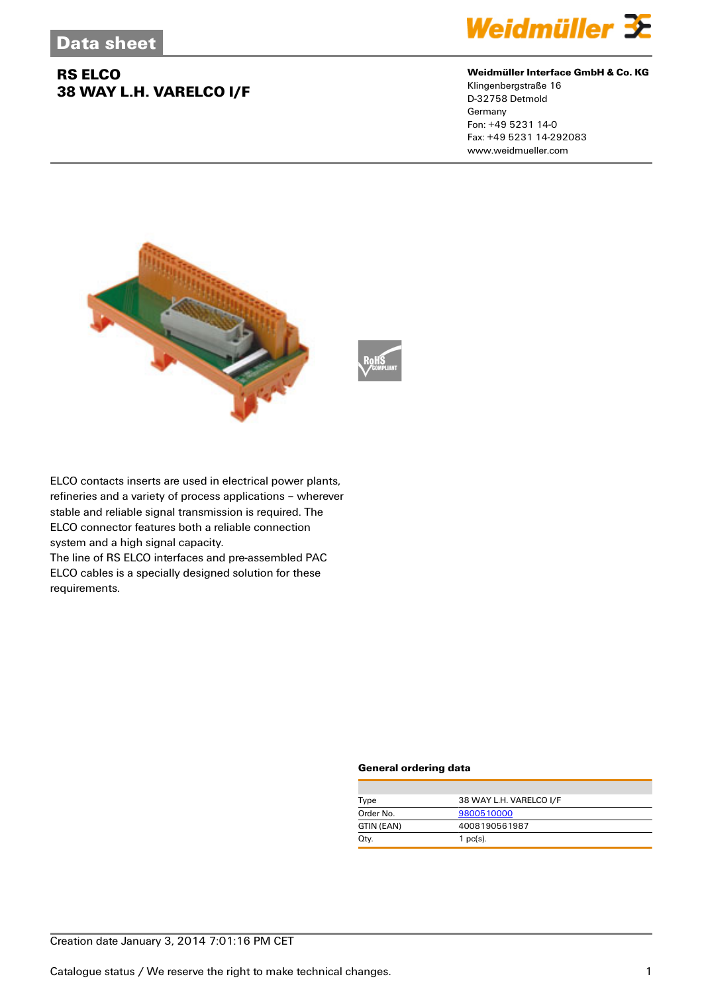## **RS ELCO 38 WAY L.H. VARELCO I/F**



#### **Weidmüller Interface GmbH & Co. KG**

Klingenbergstraße 16 D-32758 Detmold Germany Fon: +49 5231 14-0 Fax: +49 5231 14-292083 www.weidmueller.com



ELCO contacts inserts are used in electrical power plants, refineries and a variety of process applications – wherever stable and reliable signal transmission is required. The ELCO connector features both a reliable connection system and a high signal capacity.

The line of RS ELCO interfaces and pre-assembled PAC ELCO cables is a specially designed solution for these requirements.

#### **General ordering data**

| Type       | 38 WAY L.H. VARELCO I/F |
|------------|-------------------------|
| Order No.  | 9800510000              |
| GTIN (EAN) | 4008190561987           |
| Qtv.       | 1 $pc(s)$ .             |